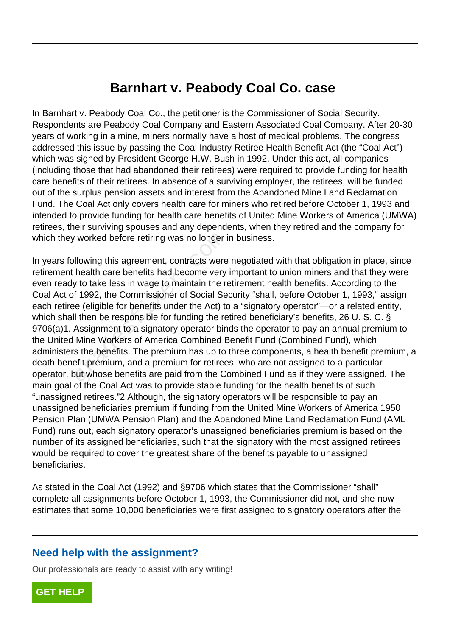## **Barnhart v. Peabody Coal Co. case**

In Barnhart v. Peabody Coal Co., the petitioner is the Commissioner of Social Security. Respondents are Peabody Coal Company and Eastern Associated Coal Company. After 20-30 years of working in a mine, miners normally have a host of medical problems. The congress addressed this issue by passing the Coal Industry Retiree Health Benefit Act (the "Coal Act") which was signed by President George H.W. Bush in 1992. Under this act, all companies (including those that had abandoned their retirees) were required to provide funding for health care benefits of their retirees. In absence of a surviving employer, the retirees, will be funded out of the surplus pension assets and interest from the Abandoned Mine Land Reclamation Fund. The Coal Act only covers health care for miners who retired before October 1, 1993 and intended to provide funding for health care benefits of United Mine Workers of America (UMWA) retirees, their surviving spouses and any dependents, when they retired and the company for which they worked before retiring was no longer in business.

In years following this agreement, contracts were negotiated with that obligation in place, since retirement health care benefits had become very important to union miners and that they were even ready to take less in wage to maintain the retirement health benefits. According to the Coal Act of 1992, the Commissioner of Social Security "shall, before October 1, 1993," assign each retiree (eligible for benefits under the Act) to a "signatory operator"—or a related entity, which shall then be responsible for funding the retired beneficiary's benefits, 26 U. S. C. § 9706(a)1. Assignment to a signatory operator binds the operator to pay an annual premium to the United Mine Workers of America Combined Benefit Fund (Combined Fund), which administers the benefits. The premium has up to three components, a health benefit premium, a death benefit premium, and a premium for retirees, who are not assigned to a particular operator, but whose benefits are paid from the Combined Fund as if they were assigned. The main goal of the Coal Act was to provide stable funding for the health benefits of such "unassigned retirees."2 Although, the signatory operators will be responsible to pay an unassigned beneficiaries premium if funding from the United Mine Workers of America 1950 Pension Plan (UMWA Pension Plan) and the Abandoned Mine Land Reclamation Fund (AML Fund) runs out, each signatory operator's unassigned beneficiaries premium is based on the number of its assigned beneficiaries, such that the signatory with the most assigned retirees would be required to cover the greatest share of the benefits payable to unassigned beneficiaries. v worked before retiring was no longer i<br>Illowing this agreement, contracts were<br>health care benefits had become very<br>y to take less in wage to maintain the re<br>f 1992, the Commissioner of Social Se<br>ee (eligible for benefit

As stated in the Coal Act (1992) and §9706 which states that the Commissioner "shall" complete all assignments before October 1, 1993, the Commissioner did not, and she now estimates that some 10,000 beneficiaries were first assigned to signatory operators after the

## **Need help with the assignment?**

Our professionals are ready to assist with any writing!

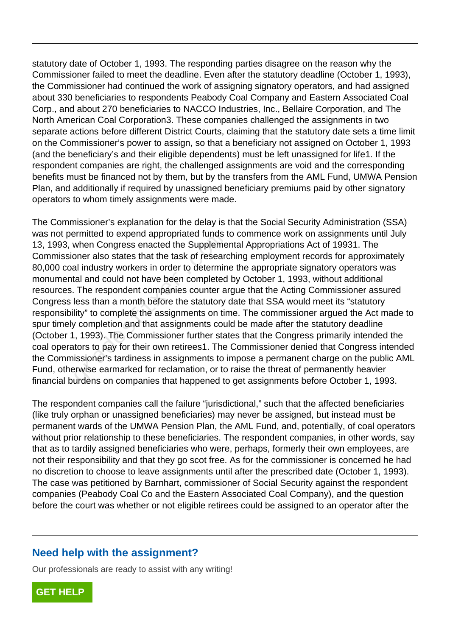statutory date of October 1, 1993. The responding parties disagree on the reason why the Commissioner failed to meet the deadline. Even after the statutory deadline (October 1, 1993), the Commissioner had continued the work of assigning signatory operators, and had assigned about 330 beneficiaries to respondents Peabody Coal Company and Eastern Associated Coal Corp., and about 270 beneficiaries to NACCO Industries, Inc., Bellaire Corporation, and The North American Coal Corporation3. These companies challenged the assignments in two separate actions before different District Courts, claiming that the statutory date sets a time limit on the Commissioner's power to assign, so that a beneficiary not assigned on October 1, 1993 (and the beneficiary's and their eligible dependents) must be left unassigned for life1. If the respondent companies are right, the challenged assignments are void and the corresponding benefits must be financed not by them, but by the transfers from the AML Fund, UMWA Pension Plan, and additionally if required by unassigned beneficiary premiums paid by other signatory operators to whom timely assignments were made.

The Commissioner's explanation for the delay is that the Social Security Administration (SSA) was not permitted to expend appropriated funds to commence work on assignments until July 13, 1993, when Congress enacted the Supplemental Appropriations Act of 19931. The Commissioner also states that the task of researching employment records for approximately 80,000 coal industry workers in order to determine the appropriate signatory operators was monumental and could not have been completed by October 1, 1993, without additional resources. The respondent companies counter argue that the Acting Commissioner assured Congress less than a month before the statutory date that SSA would meet its "statutory responsibility" to complete the assignments on time. The commissioner argued the Act made to spur timely completion and that assignments could be made after the statutory deadline (October 1, 1993). The Commissioner further states that the Congress primarily intended the coal operators to pay for their own retirees1. The Commissioner denied that Congress intended the Commissioner's tardiness in assignments to impose a permanent charge on the public AML Fund, otherwise earmarked for reclamation, or to raise the threat of permanently heavier financial burdens on companies that happened to get assignments before October 1, 1993. Firmitied to experia appropriated itrius in<br>when Congress enacted the Suppleme<br>oner also states that the task of researd<br>al industry workers in order to determin<br>tal and could not have been completed<br>The respondent compani

The respondent companies call the failure "jurisdictional," such that the affected beneficiaries (like truly orphan or unassigned beneficiaries) may never be assigned, but instead must be permanent wards of the UMWA Pension Plan, the AML Fund, and, potentially, of coal operators without prior relationship to these beneficiaries. The respondent companies, in other words, say that as to tardily assigned beneficiaries who were, perhaps, formerly their own employees, are not their responsibility and that they go scot free. As for the commissioner is concerned he had no discretion to choose to leave assignments until after the prescribed date (October 1, 1993). The case was petitioned by Barnhart, commissioner of Social Security against the respondent companies (Peabody Coal Co and the Eastern Associated Coal Company), and the question before the court was whether or not eligible retirees could be assigned to an operator after the

## **Need help with the assignment?**

Our professionals are ready to assist with any writing!

**[GET HELP](https://my.gradesfixer.com/order?utm_campaign=pdf_sample)**